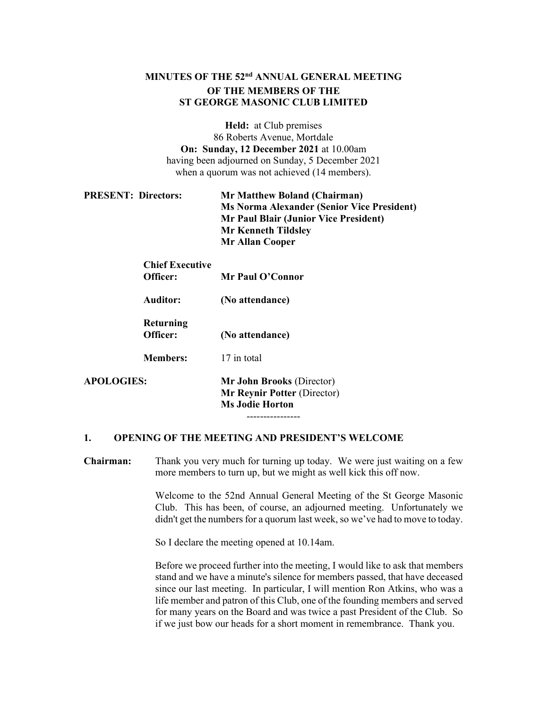# MINUTES OF THE 52<sup>nd</sup> ANNUAL GENERAL MEETING OF THE MEMBERS OF THE ST GEORGE MASONIC CLUB LIMITED

Held: at Club premises 86 Roberts Avenue, Mortdale On: Sunday, 12 December 2021 at 10.00am having been adjourned on Sunday, 5 December 2021 when a quorum was not achieved (14 members).

| <b>PRESENT: Directors:</b> | <b>Mr Matthew Boland (Chairman)</b>               |
|----------------------------|---------------------------------------------------|
|                            | <b>Ms Norma Alexander (Senior Vice President)</b> |
|                            | <b>Mr Paul Blair (Junior Vice President)</b>      |
|                            | <b>Mr Kenneth Tildsley</b>                        |
|                            | <b>Mr Allan Cooper</b>                            |

|                   | <b>Chief Executive</b><br>Officer: | Mr Paul O'Connor                                                                          |
|-------------------|------------------------------------|-------------------------------------------------------------------------------------------|
|                   | Auditor:                           | (No attendance)                                                                           |
|                   | Returning<br>Officer:              | (No attendance)                                                                           |
|                   | <b>Members:</b>                    | 17 in total                                                                               |
| <b>APOLOGIES:</b> |                                    | Mr John Brooks (Director)<br><b>Mr Reynir Potter (Director)</b><br><b>Ms Jodie Horton</b> |

1. OPENING OF THE MEETING AND PRESIDENT'S WELCOME

Chairman: Thank you very much for turning up today. We were just waiting on a few more members to turn up, but we might as well kick this off now.

----------------

Welcome to the 52nd Annual General Meeting of the St George Masonic Club. This has been, of course, an adjourned meeting. Unfortunately we didn't get the numbers for a quorum last week, so we've had to move to today.

So I declare the meeting opened at 10.14am.

Before we proceed further into the meeting, I would like to ask that members stand and we have a minute's silence for members passed, that have deceased since our last meeting. In particular, I will mention Ron Atkins, who was a life member and patron of this Club, one of the founding members and served for many years on the Board and was twice a past President of the Club. So if we just bow our heads for a short moment in remembrance. Thank you.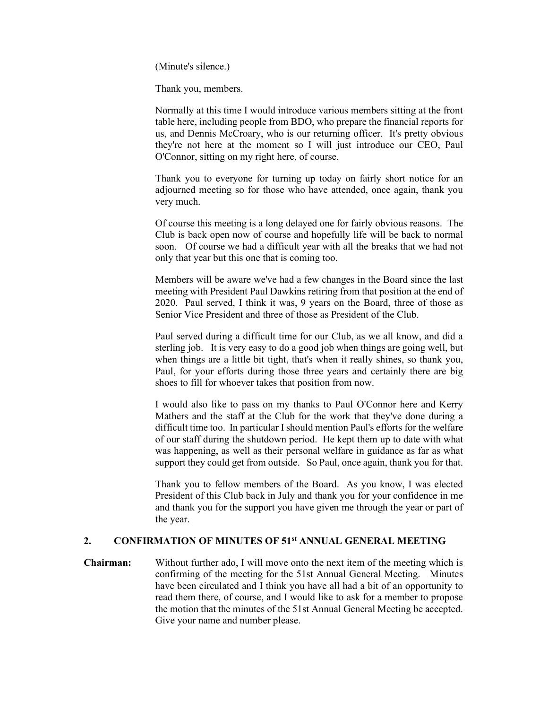(Minute's silence.)

Thank you, members.

Normally at this time I would introduce various members sitting at the front table here, including people from BDO, who prepare the financial reports for us, and Dennis McCroary, who is our returning officer. It's pretty obvious they're not here at the moment so I will just introduce our CEO, Paul O'Connor, sitting on my right here, of course.

Thank you to everyone for turning up today on fairly short notice for an adjourned meeting so for those who have attended, once again, thank you very much.

Of course this meeting is a long delayed one for fairly obvious reasons. The Club is back open now of course and hopefully life will be back to normal soon. Of course we had a difficult year with all the breaks that we had not only that year but this one that is coming too.

Members will be aware we've had a few changes in the Board since the last meeting with President Paul Dawkins retiring from that position at the end of 2020. Paul served, I think it was, 9 years on the Board, three of those as Senior Vice President and three of those as President of the Club.

Paul served during a difficult time for our Club, as we all know, and did a sterling job. It is very easy to do a good job when things are going well, but when things are a little bit tight, that's when it really shines, so thank you, Paul, for your efforts during those three years and certainly there are big shoes to fill for whoever takes that position from now.

I would also like to pass on my thanks to Paul O'Connor here and Kerry Mathers and the staff at the Club for the work that they've done during a difficult time too. In particular I should mention Paul's efforts for the welfare of our staff during the shutdown period. He kept them up to date with what was happening, as well as their personal welfare in guidance as far as what support they could get from outside. So Paul, once again, thank you for that.

Thank you to fellow members of the Board. As you know, I was elected President of this Club back in July and thank you for your confidence in me and thank you for the support you have given me through the year or part of the year.

## 2. CONFIRMATION OF MINUTES OF 51<sup>st</sup> ANNUAL GENERAL MEETING

Chairman: Without further ado, I will move onto the next item of the meeting which is confirming of the meeting for the 51st Annual General Meeting. Minutes have been circulated and I think you have all had a bit of an opportunity to read them there, of course, and I would like to ask for a member to propose the motion that the minutes of the 51st Annual General Meeting be accepted. Give your name and number please.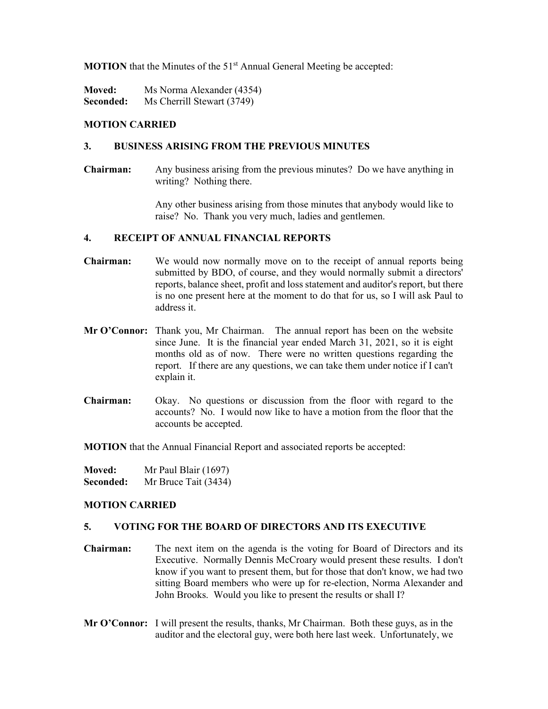**MOTION** that the Minutes of the  $51<sup>st</sup>$  Annual General Meeting be accepted:

**Moved:** Ms Norma Alexander (4354) Seconded: Ms Cherrill Stewart (3749)

## MOTION CARRIED

## 3. BUSINESS ARISING FROM THE PREVIOUS MINUTES

Chairman: Any business arising from the previous minutes? Do we have anything in writing? Nothing there.

> Any other business arising from those minutes that anybody would like to raise? No. Thank you very much, ladies and gentlemen.

#### 4. RECEIPT OF ANNUAL FINANCIAL REPORTS

- Chairman: We would now normally move on to the receipt of annual reports being submitted by BDO, of course, and they would normally submit a directors' reports, balance sheet, profit and loss statement and auditor's report, but there is no one present here at the moment to do that for us, so I will ask Paul to address it.
- Mr O'Connor: Thank you, Mr Chairman. The annual report has been on the website since June. It is the financial year ended March 31, 2021, so it is eight months old as of now. There were no written questions regarding the report. If there are any questions, we can take them under notice if I can't explain it.
- Chairman: Okay. No questions or discussion from the floor with regard to the accounts? No. I would now like to have a motion from the floor that the accounts be accepted.

MOTION that the Annual Financial Report and associated reports be accepted:

| <b>Moved:</b> | Mr Paul Blair $(1697)$ |
|---------------|------------------------|
| Seconded:     | Mr Bruce Tait (3434)   |

## MOTION CARRIED

#### 5. VOTING FOR THE BOARD OF DIRECTORS AND ITS EXECUTIVE

- Chairman: The next item on the agenda is the voting for Board of Directors and its Executive. Normally Dennis McCroary would present these results. I don't know if you want to present them, but for those that don't know, we had two sitting Board members who were up for re-election, Norma Alexander and John Brooks. Would you like to present the results or shall I?
- Mr O'Connor: I will present the results, thanks, Mr Chairman. Both these guys, as in the auditor and the electoral guy, were both here last week. Unfortunately, we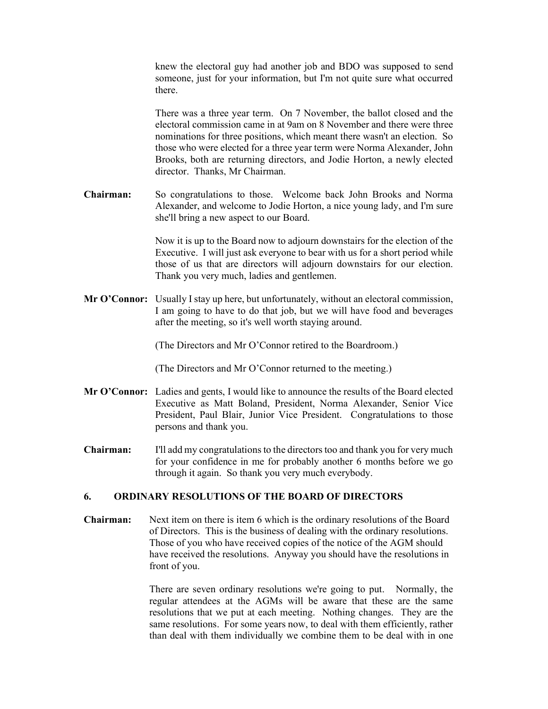| knew the electoral guy had another job and BDO was supposed to send      |
|--------------------------------------------------------------------------|
| someone, just for your information, but I'm not quite sure what occurred |
| there.                                                                   |

There was a three year term. On 7 November, the ballot closed and the electoral commission came in at 9am on 8 November and there were three nominations for three positions, which meant there wasn't an election. So those who were elected for a three year term were Norma Alexander, John Brooks, both are returning directors, and Jodie Horton, a newly elected director. Thanks, Mr Chairman.

Chairman: So congratulations to those. Welcome back John Brooks and Norma Alexander, and welcome to Jodie Horton, a nice young lady, and I'm sure she'll bring a new aspect to our Board.

> Now it is up to the Board now to adjourn downstairs for the election of the Executive. I will just ask everyone to bear with us for a short period while those of us that are directors will adjourn downstairs for our election. Thank you very much, ladies and gentlemen.

Mr O'Connor: Usually I stay up here, but unfortunately, without an electoral commission, I am going to have to do that job, but we will have food and beverages after the meeting, so it's well worth staying around.

(The Directors and Mr O'Connor retired to the Boardroom.)

(The Directors and Mr O'Connor returned to the meeting.)

- Mr O'Connor: Ladies and gents, I would like to announce the results of the Board elected Executive as Matt Boland, President, Norma Alexander, Senior Vice President, Paul Blair, Junior Vice President. Congratulations to those persons and thank you.
- Chairman: I'll add my congratulations to the directors too and thank you for very much for your confidence in me for probably another 6 months before we go through it again. So thank you very much everybody.

## 6. ORDINARY RESOLUTIONS OF THE BOARD OF DIRECTORS

Chairman: Next item on there is item 6 which is the ordinary resolutions of the Board of Directors. This is the business of dealing with the ordinary resolutions. Those of you who have received copies of the notice of the AGM should have received the resolutions. Anyway you should have the resolutions in front of you.

> There are seven ordinary resolutions we're going to put. Normally, the regular attendees at the AGMs will be aware that these are the same resolutions that we put at each meeting. Nothing changes. They are the same resolutions. For some years now, to deal with them efficiently, rather than deal with them individually we combine them to be deal with in one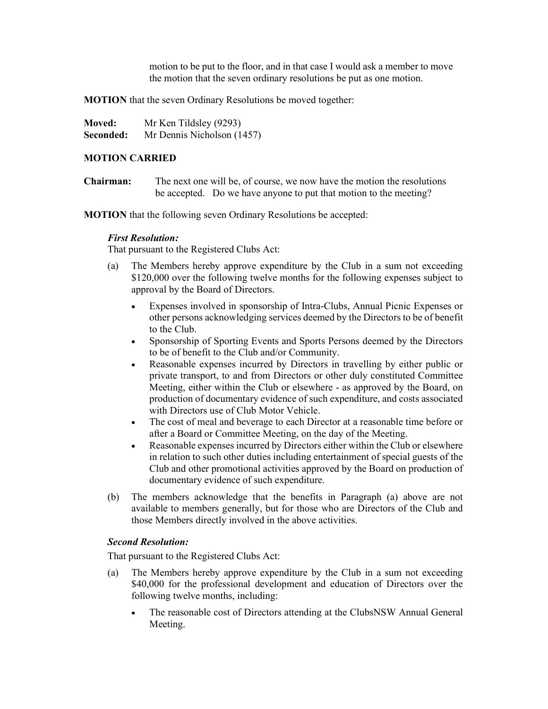motion to be put to the floor, and in that case I would ask a member to move the motion that the seven ordinary resolutions be put as one motion.

MOTION that the seven Ordinary Resolutions be moved together:

| <b>Moved:</b> | Mr Ken Tildsley (9293)     |
|---------------|----------------------------|
| Seconded:     | Mr Dennis Nicholson (1457) |

## MOTION CARRIED

Chairman: The next one will be, of course, we now have the motion the resolutions be accepted. Do we have anyone to put that motion to the meeting?

MOTION that the following seven Ordinary Resolutions be accepted:

## First Resolution:

That pursuant to the Registered Clubs Act:

- (a) The Members hereby approve expenditure by the Club in a sum not exceeding \$120,000 over the following twelve months for the following expenses subject to approval by the Board of Directors.
	- Expenses involved in sponsorship of Intra-Clubs, Annual Picnic Expenses or other persons acknowledging services deemed by the Directors to be of benefit to the Club.
	- Sponsorship of Sporting Events and Sports Persons deemed by the Directors to be of benefit to the Club and/or Community.
	- Reasonable expenses incurred by Directors in travelling by either public or private transport, to and from Directors or other duly constituted Committee Meeting, either within the Club or elsewhere - as approved by the Board, on production of documentary evidence of such expenditure, and costs associated with Directors use of Club Motor Vehicle.
	- The cost of meal and beverage to each Director at a reasonable time before or after a Board or Committee Meeting, on the day of the Meeting.
	- Reasonable expenses incurred by Directors either within the Club or elsewhere in relation to such other duties including entertainment of special guests of the Club and other promotional activities approved by the Board on production of documentary evidence of such expenditure.
- (b) The members acknowledge that the benefits in Paragraph (a) above are not available to members generally, but for those who are Directors of the Club and those Members directly involved in the above activities.

# Second Resolution:

That pursuant to the Registered Clubs Act:

- (a) The Members hereby approve expenditure by the Club in a sum not exceeding \$40,000 for the professional development and education of Directors over the following twelve months, including:
	- The reasonable cost of Directors attending at the ClubsNSW Annual General Meeting.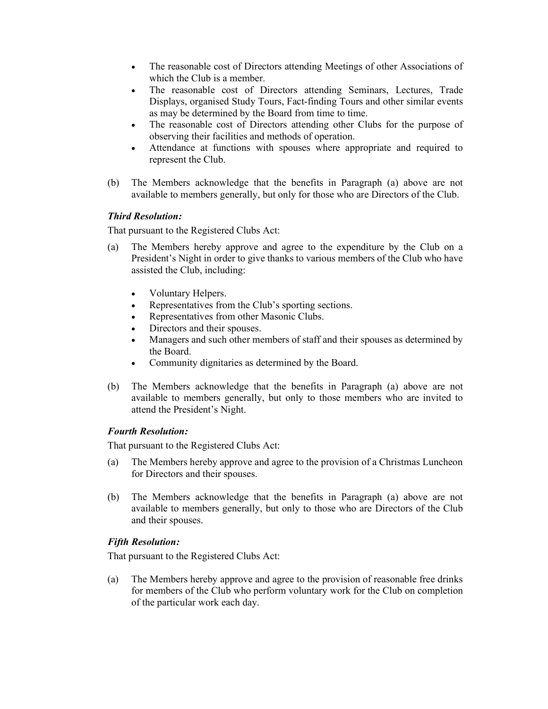- The reasonable cost of Directors attending Meetings of other Associations of which the Club is a member.
- The reasonable cost of Directors attending Seminars, Lectures, Trade Displays, organised Study Tours, Fact-finding Tours and other similar events as may be determined by the Board from time to time.
- The reasonable cost of Directors attending other Clubs for the purpose of observing their facilities and methods of operation.
- Attendance at functions with spouses where appropriate and required to represent the Club.
- (b) The Members acknowledge that the benefits in Paragraph (a) above are not available to members generally, but only for those who are Directors of the Club.

# Third Resolution:

That pursuant to the Registered Clubs Act:

- (a) The Members hereby approve and agree to the expenditure by the Club on a President's Night in order to give thanks to various members of the Club who have assisted the Club, including:
	- Voluntary Helpers.
	- Representatives from the Club's sporting sections.
	- Representatives from other Masonic Clubs.
	- Directors and their spouses.
	- Managers and such other members of staff and their spouses as determined by the Board.
	- Community dignitaries as determined by the Board.
- (b) The Members acknowledge that the benefits in Paragraph (a) above are not available to members generally, but only to those members who are invited to attend the President's Night.

## Fourth Resolution:

That pursuant to the Registered Clubs Act:

- (a) The Members hereby approve and agree to the provision of a Christmas Luncheon for Directors and their spouses.
- (b) The Members acknowledge that the benefits in Paragraph (a) above are not available to members generally, but only to those who are Directors of the Club and their spouses.

# Fifth Resolution:

That pursuant to the Registered Clubs Act:

(a) The Members hereby approve and agree to the provision of reasonable free drinks for members of the Club who perform voluntary work for the Club on completion of the particular work each day.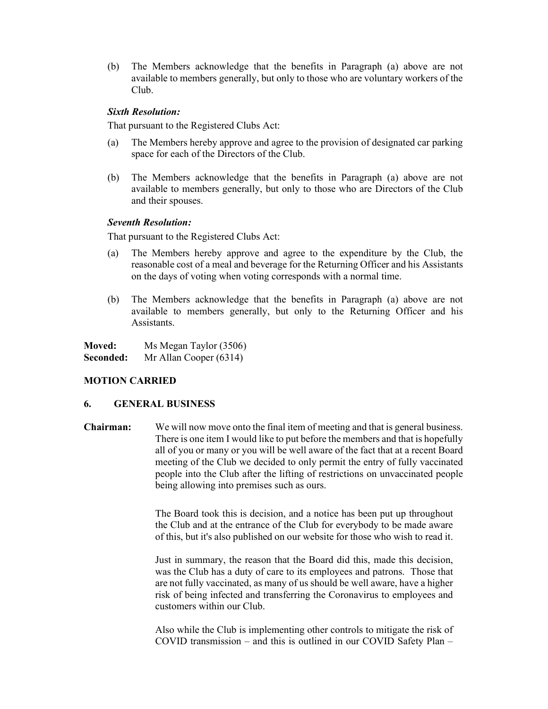(b) The Members acknowledge that the benefits in Paragraph (a) above are not available to members generally, but only to those who are voluntary workers of the Club.

#### Sixth Resolution:

That pursuant to the Registered Clubs Act:

- (a) The Members hereby approve and agree to the provision of designated car parking space for each of the Directors of the Club.
- (b) The Members acknowledge that the benefits in Paragraph (a) above are not available to members generally, but only to those who are Directors of the Club and their spouses.

#### Seventh Resolution:

That pursuant to the Registered Clubs Act:

- (a) The Members hereby approve and agree to the expenditure by the Club, the reasonable cost of a meal and beverage for the Returning Officer and his Assistants on the days of voting when voting corresponds with a normal time.
- (b) The Members acknowledge that the benefits in Paragraph (a) above are not available to members generally, but only to the Returning Officer and his Assistants.

| Moved:    | Ms Megan Taylor (3506) |
|-----------|------------------------|
| Seconded: | Mr Allan Cooper (6314) |

## MOTION CARRIED

#### 6. GENERAL BUSINESS

Chairman: We will now move onto the final item of meeting and that is general business. There is one item I would like to put before the members and that is hopefully all of you or many or you will be well aware of the fact that at a recent Board meeting of the Club we decided to only permit the entry of fully vaccinated people into the Club after the lifting of restrictions on unvaccinated people being allowing into premises such as ours.

> The Board took this is decision, and a notice has been put up throughout the Club and at the entrance of the Club for everybody to be made aware of this, but it's also published on our website for those who wish to read it.

> Just in summary, the reason that the Board did this, made this decision, was the Club has a duty of care to its employees and patrons. Those that are not fully vaccinated, as many of us should be well aware, have a higher risk of being infected and transferring the Coronavirus to employees and customers within our Club.

> Also while the Club is implementing other controls to mitigate the risk of COVID transmission – and this is outlined in our COVID Safety Plan –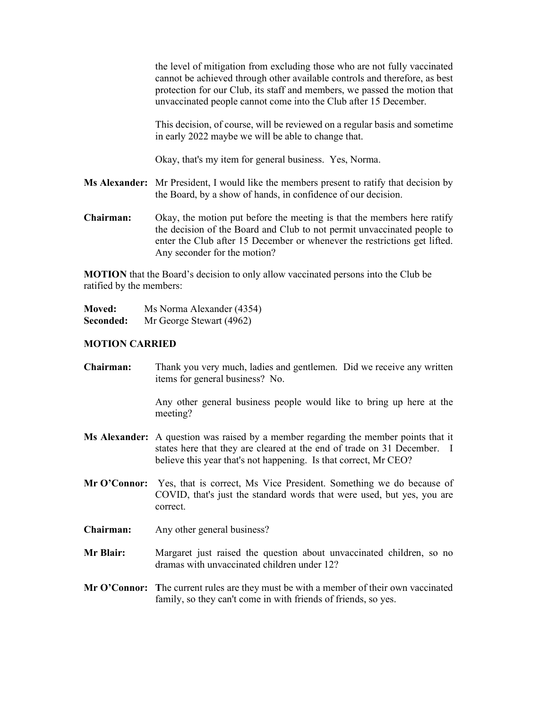the level of mitigation from excluding those who are not fully vaccinated cannot be achieved through other available controls and therefore, as best protection for our Club, its staff and members, we passed the motion that unvaccinated people cannot come into the Club after 15 December.

This decision, of course, will be reviewed on a regular basis and sometime in early 2022 maybe we will be able to change that.

Okay, that's my item for general business. Yes, Norma.

- Ms Alexander: Mr President, I would like the members present to ratify that decision by the Board, by a show of hands, in confidence of our decision.
- Chairman: Okay, the motion put before the meeting is that the members here ratify the decision of the Board and Club to not permit unvaccinated people to enter the Club after 15 December or whenever the restrictions get lifted. Any seconder for the motion?

MOTION that the Board's decision to only allow vaccinated persons into the Club be ratified by the members:

**Moved:** Ms Norma Alexander (4354) Seconded: Mr George Stewart (4962)

#### MOTION CARRIED

Chairman: Thank you very much, ladies and gentlemen. Did we receive any written items for general business? No.

> Any other general business people would like to bring up here at the meeting?

- Ms Alexander: A question was raised by a member regarding the member points that it states here that they are cleared at the end of trade on 31 December. I believe this year that's not happening. Is that correct, Mr CEO?
- Mr O'Connor: Yes, that is correct, Ms Vice President. Something we do because of COVID, that's just the standard words that were used, but yes, you are correct.
- Chairman: Any other general business?
- Mr Blair: Margaret just raised the question about unvaccinated children, so no dramas with unvaccinated children under 12?
- Mr O'Connor: The current rules are they must be with a member of their own vaccinated family, so they can't come in with friends of friends, so yes.